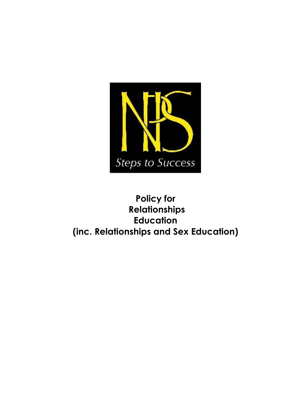

# **Policy for Relationships Education (inc. Relationships and Sex Education)**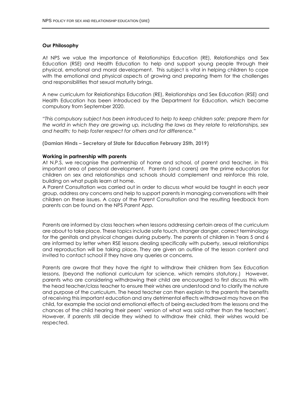#### **Our Philosophy**

At NPS we value the importance of Relationships Education (RE), Relationships and Sex Education (RSE) and Health Education to help and support young people through their physical, emotional and moral development. This subject is vital in helping children to cope with the emotional and physical aspects of growing and preparing them for the challenges and responsibilities that sexual maturity brings.

A new curriculum for Relationships Education (RE), Relationships and Sex Education (RSE) and Health Education has been introduced by the Department for Education, which became compulsory from September 2020.

*"This compulsory subject has been introduced to help to keep children safe; prepare them for the world in which they are growing up, including the laws as they relate to relationships, sex and health; to help foster respect for others and for difference."*

**(Damian Hinds – Secretary of State for Education February 25th, 2019)**

#### **Working in partnership with parents**

At N.P.S, we recognise the partnership of home and school, of parent and teacher, in this important area of personal development. Parents (and carers) are the prime educators for children on sex and relationships and schools should complement and reinforce this role, building on what pupils learn at home.

A Parent Consultation was carried out in order to discuss what would be taught in each year group, address any concerns and help to support parents in managing conversations with their children on these issues. A copy of the Parent Consultation and the resulting feedback from parents can be found on the NPS Parent App.

Parents are informed by class teachers when lessons addressing certain areas of the curriculum are about to take place. These topics include safe touch, stranger danger, correct terminology for the genitals and physical changes during puberty. The parents of children in Years 5 and 6 are informed by letter when RSE lessons dealing specifically with puberty, sexual relationships and reproduction will be taking place. They are given an outline of the lesson content and invited to contact school if they have any queries or concerns.

Parents are aware that they have the right to withdraw their children from Sex Education lessons, (beyond the national curriculum for science, which remains statutory.) However, parents who are considering withdrawing their child are encouraged to first discuss this with the head teacher/class teacher to ensure their wishes are understood and to clarify the nature and purpose of the curriculum. The head teacher can then explain to the parents the benefits of receiving this important education and any detrimental effects withdrawal may have on the child, for example the social and emotional effects of being excluded from the lessons and the chances of the child hearing their peers' version of what was said rather than the teachers'. However, if parents still decide they wished to withdraw their child, their wishes would be respected.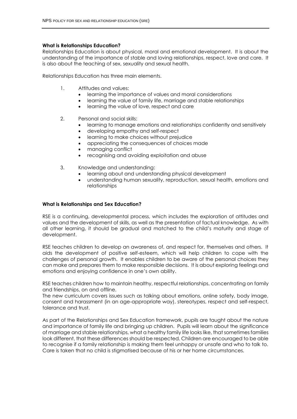#### **What is Relationships Education?**

Relationships Education is about physical, moral and emotional development. It is about the understanding of the importance of stable and loving relationships, respect, love and care. It is also about the teaching of sex, sexuality and sexual health.

Relationships Education has three main elements.

- 1. Attitudes and values:
	- learning the importance of values and moral considerations
	- learning the value of family life, marriage and stable relationships
	- learning the value of love, respect and care
- 2. Personal and social skills:
	- learning to manage emotions and relationships confidently and sensitively
	- developing empathy and self-respect
	- learning to make choices without prejudice
	- appreciating the consequences of choices made
	- managing conflict
	- recognising and avoiding exploitation and abuse
- 3. Knowledge and understanding:
	- learning about and understanding physical development
	- understanding human sexuality, reproduction, sexual health, emotions and relationships

# **What is Relationships and Sex Education?**

RSE is a continuing, developmental process, which includes the exploration of attitudes and values and the development of skills, as well as the presentation of factual knowledge. As with all other learning, it should be gradual and matched to the child's maturity and stage of development.

RSE teaches children to develop an awareness of, and respect for, themselves and others. It aids the development of positive self-esteem, which will help children to cope with the challenges of personal growth. It enables children to be aware of the personal choices they can make and prepares them to make responsible decisions. It is about exploring feelings and emotions and enjoying confidence in one's own ability.

RSE teaches children how to maintain healthy, respectful relationships, concentrating on family and friendships, on and offline.

The new curriculum covers issues such as talking about emotions, online safety, body image, consent and harassment (in an age-appropriate way), stereotypes, respect and self-respect, tolerance and trust.

As part of the Relationships and Sex Education framework, pupils are taught about the nature and importance of family life and bringing up children. Pupils will learn about the significance of marriage and stable relationships, what a healthy family life looks like, that sometimes families look different, that these differences should be respected. Children are encouraged to be able to recognise if a family relationship is making them feel unhappy or unsafe and who to talk to. Care is taken that no child is stigmatised because of his or her home circumstances.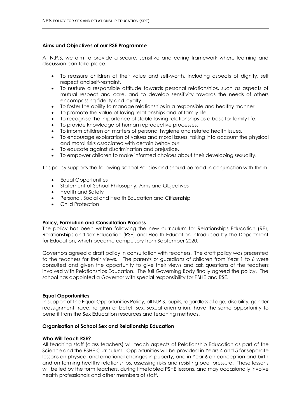#### **Aims and Objectives of our RSE Programme**

At N.P.S, we aim to provide a secure, sensitive and caring framework where learning and discussion can take place.

- To reassure children of their value and self-worth, including aspects of dignity, self respect and self-restraint.
- To nurture a responsible attitude towards personal relationships, such as aspects of mutual respect and care, and to develop sensitivity towards the needs of others encompassing fidelity and loyalty.
- To foster the ability to manage relationships in a responsible and healthy manner.
- To promote the value of loving relationships and of family life.
- To recognise the importance of stable loving relationships as a basis for family life.
- To provide knowledge of human reproductive processes.
- To inform children on matters of personal hygiene and related health issues.
- To encourage exploration of values and moral issues, taking into account the physical and moral risks associated with certain behaviour.
- To educate against discrimination and prejudice.
- To empower children to make informed choices about their developing sexuality.

This policy supports the following School Policies and should be read in conjunction with them.

- Equal Opportunities
- Statement of School Philosophy, Aims and Objectives
- Health and Safety
- Personal, Social and Health Education and Citizenship
- Child Protection

# **Policy, Formation and Consultation Process**

The policy has been written following the new curriculum for Relationships Education (RE), Relationships and Sex Education (RSE) and Health Education introduced by the Department for Education, which became compulsory from September 2020.

Governors agreed a draft policy in consultation with teachers. The draft policy was presented to the teachers for their views. The parents or guardians of children from Year 1 to 6 were consulted and given the opportunity to give their views and ask questions of the teachers involved with Relationships Education. The full Governing Body finally agreed the policy. The school has appointed a Governor with special responsibility for PSHE and RSE.

# **Equal Opportunities**

In support of the Equal Opportunities Policy, all N.P.S. pupils, regardless of age, disability, gender reassignment, race, religion or belief, sex, sexual orientation, have the same opportunity to benefit from the Sex Education resources and teaching methods.

# **Organisation of School Sex and Relationship Education**

# **Who Will Teach RSE?**

All teaching staff (class teachers) will teach aspects of Relationship Education as part of the Science and the PSHE Curriculum. Opportunities will be provided in Years 4 and 5 for separate lessons on physical and emotional changes in puberty, and in Year 6 on conception and birth and on forming healthy relationships, assessing risks and resisting peer pressure. These lessons will be led by the form teachers, during timetabled PSHE lessons, and may occasionally involve health professionals and other members of staff.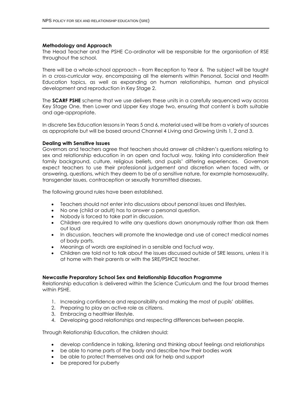#### **Methodology and Approach**

The Head Teacher and the PSHE Co-ordinator will be responsible for the organisation of RSE throughout the school.

There will be a whole-school approach – from Reception to Year 6. The subject will be taught in a cross-curricular way, encompassing all the elements within Personal, Social and Health Education topics, as well as expanding on human relationships, human and physical development and reproduction in Key Stage 2.

The **SCARF PSHE** scheme that we use delivers these units in a carefully sequenced way across Key Stage One, then Lower and Upper Key stage two, ensuring that content is both suitable and age-appropriate.

In discrete Sex Education lessons in Years 5 and 6, material used will be from a variety of sources as appropriate but will be based around Channel 4 Living and Growing Units 1, 2 and 3.

#### **Dealing with Sensitive Issues**

Governors and teachers agree that teachers should answer all children's questions relating to sex and relationship education in an open and factual way, taking into consideration their family background, culture, religious beliefs, and pupils' differing experiences. Governors expect teachers to use their professional judgement and discretion when faced with, or answering, questions, which they deem to be of a sensitive nature, for example homosexuality, transgender issues, contraception or sexually transmitted diseases.

The following ground rules have been established.

- Teachers should not enter into discussions about personal issues and lifestyles.
- No one (child or adult) has to answer a personal question.
- Nobody is forced to take part in discussion.
- Children are required to write any questions down anonymously rather than ask them out loud
- In discussion, teachers will promote the knowledge and use of correct medical names of body parts.
- Meanings of words are explained in a sensible and factual way.
- Children are told not to talk about the issues discussed outside of SRE lessons, unless it is at home with their parents or with the SRE/PSHCE teacher.

#### **Newcastle Preparatory School Sex and Relationship Education Programme**

Relationship education is delivered within the Science Curriculum and the four broad themes within PSHE.

- 1. Increasing confidence and responsibility and making the most of pupils' abilities.
- 2. Preparing to play an active role as citizens.
- 3. Embracing a healthier lifestyle.
- 4. Developing good relationships and respecting differences between people.

Through Relationship Education, the children should:

- develop confidence in talking, listening and thinking about feelings and relationships
- be able to name parts of the body and describe how their bodies work
- be able to protect themselves and ask for help and support
- be prepared for puberty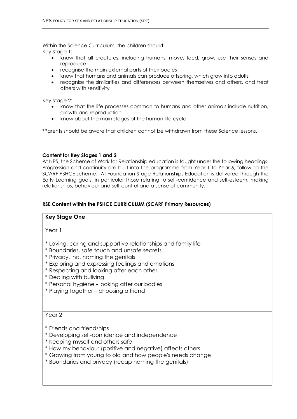Within the Science Curriculum, the children should: Key Stage 1:

- know that all creatures, including humans, move, feed, grow, use their senses and reproduce
- recognise the main external parts of their bodies
- know that humans and animals can produce offspring, which grow into adults
- recognise the similarities and differences between themselves and others, and treat others with sensitivity

Key Stage 2:

- know that the life processes common to humans and other animals include nutrition, growth and reproduction
- know about the main stages of the human life cycle

\*Parents should be aware that children cannot be withdrawn from these Science lessons.

# **Content for Key Stages 1 and 2**

At NPS, the Scheme of Work for Relationship education is taught under the following headings. Progression and continuity are built into the programme from Year 1 to Year 6, following the SCARF PSHCE scheme. At Foundation Stage Relationships Education is delivered through the Early Learning goals, in particular those relating to self-confidence and self-esteem, making relationships, behaviour and self-control and a sense of community.

# **RSE Content within the PSHCE CURRICULUM (SCARF Primary Resources)**

# **Key Stage One**

Year 1

- \* Loving, caring and supportive relationships and family life
- \* Boundaries, safe touch and unsafe secrets
- \* Privacy, inc. naming the genitals
- \* Exploring and expressing feelings and emotions
- \* Respecting and looking after each other
- \* Dealing with bullying
- \* Personal hygiene looking after our bodies
- \* Playing together choosing a friend

Year 2

- \* Friends and friendships
- \* Developing self-confidence and independence
- \* Keeping myself and others safe
- \* How my behaviour (positive and negative) affects others
- \* Growing from young to old and how people's needs change
- \* Boundaries and privacy (recap naming the genitals)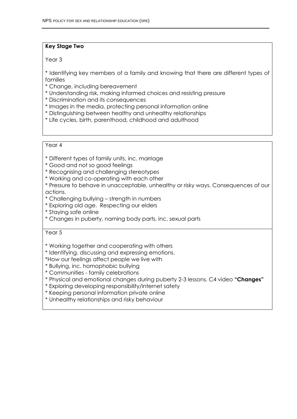# **Key Stage Two**

Year 3

\* Identifying key members of a family and knowing that there are different types of families

- \* Change, including bereavement
- \* Understanding risk, making informed choices and resisting pressure
- \* Discrimination and its consequences
- \* Images in the media, protecting personal information online
- \* Distinguishing between healthy and unhealthy relationships
- \* Life cycles, birth, parenthood, childhood and adulthood

# Year 4

- \* Different types of family units, inc. marriage
- \* Good and not so good feelings
- \* Recognising and challenging stereotypes
- \* Working and co-operating with each other
- \* Pressure to behave in unacceptable, unhealthy or risky ways. Consequences of our actions.
- \* Challenging bullying strength in numbers
- \* Exploring old age. Respecting our elders
- \* Staying safe online
- \* Changes in puberty, naming body parts, inc. sexual parts

# Year 5

- \* Working together and cooperating with others
- \* Identifying, discussing and expressing emotions.
- \*How our feelings affect people we live with
- \* Bullying, inc. homophobic bullying
- \* Communities family celebrations
- \* Physical and emotional changes during puberty 2-3 lessons. C4 video **"Changes"**
- \* Exploring developing responsibility/internet safety
- \* Keeping personal information private online
- \* Unhealthy relationships and risky behaviour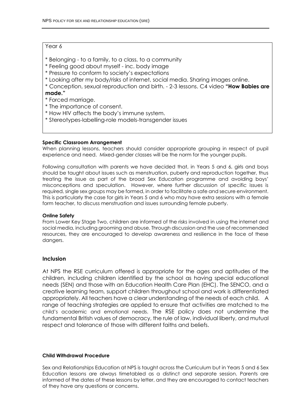# Year 6

- \* Belonging to a family, to a class, to a community
- \* Feeling good about myself inc. body image
- \* Pressure to conform to society's expectations
- \* Looking after my body/risks of internet, social media. Sharing images online.

\* Conception, sexual reproduction and birth. - 2-3 lessons. C4 video **"How Babies are made."** 

- \* Forced marriage.
- \* The importance of consent.
- \* How HIV affects the body's immune system.
- \* Stereotypes-labelling-role models-transgender issues

# **Specific Classroom Arrangement**

When planning lessons, teachers should consider appropriate grouping in respect of pupil experience and need. Mixed-gender classes will be the norm for the younger pupils.

Following consultation with parents we have decided that, in Years 5 and 6, girls and boys should be taught about issues such as menstruation, puberty and reproduction together, thus treating the issue as part of the broad Sex Education programme and avoiding boys' misconceptions and speculation. However, where further discussion of specific issues is required, single sex groups may be formed, in order to facilitate a safe and secure environment. This is particularly the case for girls in Years 5 and 6 who may have extra sessions with a female form teacher, to discuss menstruation and issues surrounding female puberty.

# **Online Safety**

From Lower Key Stage Two, children are informed of the risks involved in using the internet and social media, including grooming and abuse. Through discussion and the use of recommended resources, they are encouraged to develop awareness and resilience in the face of these dangers.

# **Inclusion**

At NPS the RSE curriculum offered is appropriate for the ages and aptitudes of the children, including children identified by the school as having special educational needs (SEN) and those with an Education Health Care Plan (EHC). The SENCO, and a creative learning team, support children throughout school and work is differentiated appropriately. All teachers have a clear understanding of the needs of each child. A range of teaching strategies are applied to ensure that activities are matched to the child's academic and emotional needs. The RSE policy does not undermine the fundamental British values of democracy, the rule of law, individual liberty, and mutual respect and tolerance of those with different faiths and beliefs.

# **Child Withdrawal Procedure**

Sex and Relationships Education at NPS is taught across the Curriculum but in Years 5 and 6 Sex Education lessons are always timetabled as a distinct and separate session. Parents are informed of the dates of these lessons by letter, and they are encouraged to contact teachers of they have any questions or concerns.